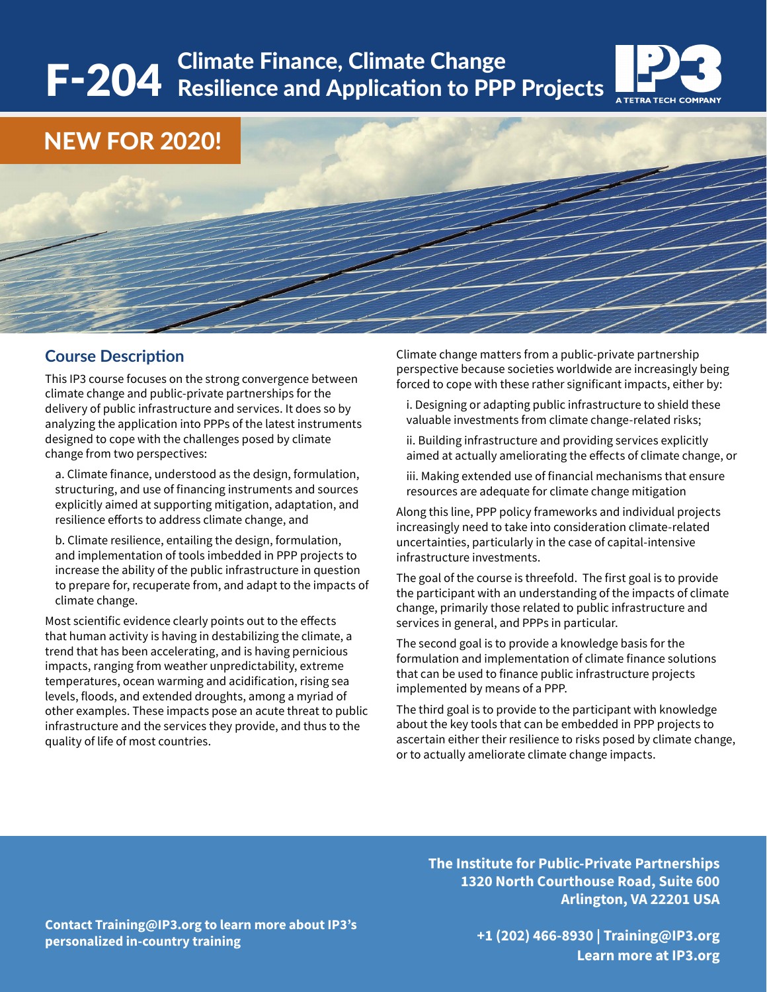## F-204 Climate Finance, Climate Change Resilience and Application to PPP Projects A TETRA TECH COMPANY

### NEW FOR 2020!

#### **Course Description**

This IP3 course focuses on the strong convergence between climate change and public-private partnerships for the delivery of public infrastructure and services. It does so by analyzing the application into PPPs of the latest instruments designed to cope with the challenges posed by climate change from two perspectives:

a. Climate finance, understood as the design, formulation, structuring, and use of financing instruments and sources explicitly aimed at supporting mitigation, adaptation, and resilience efforts to address climate change, and

b. Climate resilience, entailing the design, formulation, and implementation of tools imbedded in PPP projects to increase the ability of the public infrastructure in question to prepare for, recuperate from, and adapt to the impacts of climate change.

Most scientific evidence clearly points out to the effects that human activity is having in destabilizing the climate, a trend that has been accelerating, and is having pernicious impacts, ranging from weather unpredictability, extreme temperatures, ocean warming and acidification, rising sea levels, floods, and extended droughts, among a myriad of other examples. These impacts pose an acute threat to public infrastructure and the services they provide, and thus to the quality of life of most countries.

Climate change matters from a public-private partnership perspective because societies worldwide are increasingly being forced to cope with these rather significant impacts, either by:

i. Designing or adapting public infrastructure to shield these valuable investments from climate change-related risks;

ii. Building infrastructure and providing services explicitly aimed at actually ameliorating the effects of climate change, or

iii. Making extended use of financial mechanisms that ensure resources are adequate for climate change mitigation

Along this line, PPP policy frameworks and individual projects increasingly need to take into consideration climate-related uncertainties, particularly in the case of capital-intensive infrastructure investments.

The goal of the course is threefold. The first goal is to provide the participant with an understanding of the impacts of climate change, primarily those related to public infrastructure and services in general, and PPPs in particular.

The second goal is to provide a knowledge basis for the formulation and implementation of climate finance solutions that can be used to finance public infrastructure projects implemented by means of a PPP.

The third goal is to provide to the participant with knowledge about the key tools that can be embedded in PPP projects to ascertain either their resilience to risks posed by climate change, or to actually ameliorate climate change impacts.

**The Institute for Public-Private Partnerships 1320 North Courthouse Road, Suite 600 Arlington, VA 22201 USA**

**Contact Training@IP3.org to learn more about IP3's personalized in-country training**

**+1 (202) 466-8930 | Training@IP3.org Learn more at IP3.org**